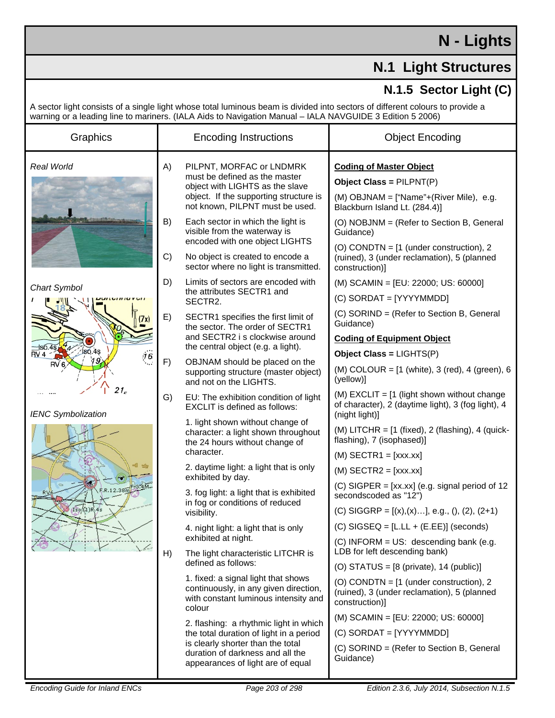## **N - Lights**

## **N.1 Light Structures**

## **N.1.5 Sector Light (C)**

A sector light consists of a single light whose total luminous beam is divided into sectors of different colours to provide a warning or a leading line to mariners. (IALA Aids to Navigation Manual – IALA NAVGUIDE 3 Edition 5 2006)

| Graphics                                                                                           |          | <b>Encoding Instructions</b>                                                                                                                                                                    | <b>Object Encoding</b>                                                                                                                                               |
|----------------------------------------------------------------------------------------------------|----------|-------------------------------------------------------------------------------------------------------------------------------------------------------------------------------------------------|----------------------------------------------------------------------------------------------------------------------------------------------------------------------|
| Real World                                                                                         | A)       | PILPNT, MORFAC or LNDMRK<br>must be defined as the master<br>object with LIGHTS as the slave<br>object. If the supporting structure is<br>not known, PILPNT must be used.                       | <b>Coding of Master Object</b><br>Object Class = PILPNT(P)<br>(M) OBJNAM = ["Name"+(River Mile), e.g.<br>Blackburn Island Lt. (284.4)]                               |
|                                                                                                    | B)<br>C) | Each sector in which the light is<br>visible from the waterway is<br>encoded with one object LIGHTS<br>No object is created to encode a<br>sector where no light is transmitted.                | (O) NOBJNM = (Refer to Section B, General<br>Guidance)<br>(O) CONDTN = $[1$ (under construction), 2<br>(ruined), 3 (under reclamation), 5 (planned<br>construction)] |
| <b>Chart Symbol</b>                                                                                | D)       | Limits of sectors are encoded with<br>the attributes SECTR1 and<br>SECTR2.                                                                                                                      | (M) SCAMIN = [EU: 22000; US: 60000]<br>(C) SORDAT = [YYYYMMDD]                                                                                                       |
| (7x)                                                                                               | E)       | SECTR1 specifies the first limit of<br>the sector. The order of SECTR1<br>and SECTR2 i s clockwise around                                                                                       | (C) SORIND = (Refer to Section B, General<br>Guidance)<br><b>Coding of Equipment Object</b>                                                                          |
| 1s6.4s<br>lsó.4s<br>RV 4<br>:16<br>RV <sub>6</sub><br>21 <sub>E</sub><br><b>IENC Symbolization</b> | F)       | the central object (e.g. a light).<br>OBJNAM should be placed on the<br>supporting structure (master object)<br>and not on the LIGHTS.                                                          | Object Class = LIGHTS(P)<br>(M) COLOUR = $[1 \text{ (white)}$ , 3 (red), 4 (green), 6<br>(yellow)]                                                                   |
|                                                                                                    | G)       | EU: The exhibition condition of light<br><b>EXCLIT</b> is defined as follows:                                                                                                                   | (M) EXCLIT = $[1$ (light shown without change<br>of character), 2 (daytime light), 3 (fog light), 4<br>(night light)]                                                |
|                                                                                                    |          | 1. light shown without change of<br>character: a light shown throughout<br>the 24 hours without change of<br>character.                                                                         | (M) LITCHR = $[1 \text{ (fixed)}, 2 \text{ (flashing)}, 4 \text{ (quick-)}$<br>flashing), 7 (isophased)]                                                             |
|                                                                                                    |          | 2. daytime light: a light that is only<br>exhibited by day.                                                                                                                                     | $(M)$ SECTR1 = [xxx.xx]<br>$(M)$ SECTR2 = [xxx.xx]<br>$(C)$ SIGPER = [xx.xx] (e.g. signal period of 12                                                               |
| RV<br>Iso(1)R.4s                                                                                   |          | 3. fog light: a light that is exhibited<br>in fog or conditions of reduced<br>visibility.                                                                                                       | secondscoded as "12")<br>(C) SIGGRP = $[(x),(x)]$ , e.g., $(), (2), (2+1)$                                                                                           |
| い                                                                                                  |          | 4. night light: a light that is only<br>exhibited at night.                                                                                                                                     | $(C)$ SIGSEQ = [L.LL + (E.EE)] (seconds)<br>$(C)$ INFORM = US: descending bank (e.g.<br>LDB for left descending bank)                                                |
|                                                                                                    | H)       | The light characteristic LITCHR is<br>defined as follows:                                                                                                                                       | (O) STATUS = $[8 \text{ (private)}$ , 14 (public)]                                                                                                                   |
|                                                                                                    |          | 1. fixed: a signal light that shows<br>continuously, in any given direction,<br>with constant luminous intensity and<br>colour                                                                  | (O) CONDTN = $[1$ (under construction), 2<br>(ruined), 3 (under reclamation), 5 (planned<br>construction)]                                                           |
|                                                                                                    |          | 2. flashing: a rhythmic light in which<br>the total duration of light in a period<br>is clearly shorter than the total<br>duration of darkness and all the<br>appearances of light are of equal | (M) SCAMIN = [EU: 22000; US: 60000]                                                                                                                                  |
|                                                                                                    |          |                                                                                                                                                                                                 | (C) SORDAT = [YYYYMMDD]                                                                                                                                              |
|                                                                                                    |          |                                                                                                                                                                                                 | (C) SORIND = (Refer to Section B, General<br>Guidance)                                                                                                               |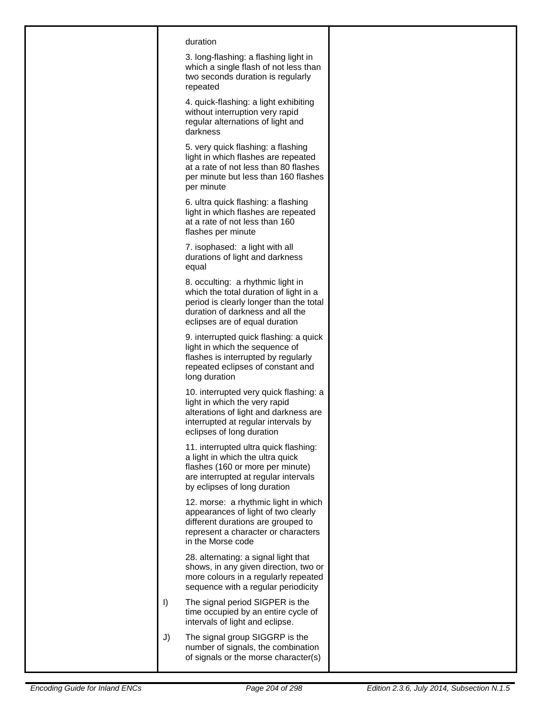| duration<br>3. long-flashing: a flashing light in<br>which a single flash of not less than<br>two seconds duration is regularly<br>repeated                                                  |  |
|----------------------------------------------------------------------------------------------------------------------------------------------------------------------------------------------|--|
| 4. quick-flashing: a light exhibiting<br>without interruption very rapid<br>regular alternations of light and<br>darkness                                                                    |  |
| 5. very quick flashing: a flashing<br>light in which flashes are repeated<br>at a rate of not less than 80 flashes<br>per minute but less than 160 flashes<br>per minute                     |  |
| 6. ultra quick flashing: a flashing<br>light in which flashes are repeated<br>at a rate of not less than 160<br>flashes per minute                                                           |  |
| 7. isophased: a light with all<br>durations of light and darkness<br>equal                                                                                                                   |  |
| 8. occulting: a rhythmic light in<br>which the total duration of light in a<br>period is clearly longer than the total<br>duration of darkness and all the<br>eclipses are of equal duration |  |
| 9. interrupted quick flashing: a quick<br>light in which the sequence of<br>flashes is interrupted by regularly<br>repeated eclipses of constant and<br>long duration                        |  |
| 10. interrupted very quick flashing: a<br>light in which the very rapid<br>alterations of light and darkness are<br>interrupted at regular intervals by<br>eclipses of long duration         |  |
| 11. interrupted ultra quick flashing:<br>a light in which the ultra quick<br>flashes (160 or more per minute)<br>are interrupted at regular intervals<br>by eclipses of long duration        |  |
| 12. morse: a rhythmic light in which<br>appearances of light of two clearly<br>different durations are grouped to<br>represent a character or characters<br>in the Morse code                |  |
| 28. alternating: a signal light that<br>shows, in any given direction, two or<br>more colours in a regularly repeated<br>sequence with a regular periodicity                                 |  |
| $\vert$<br>The signal period SIGPER is the<br>time occupied by an entire cycle of<br>intervals of light and eclipse.                                                                         |  |
| J)<br>The signal group SIGGRP is the<br>number of signals, the combination<br>of signals or the morse character(s)                                                                           |  |